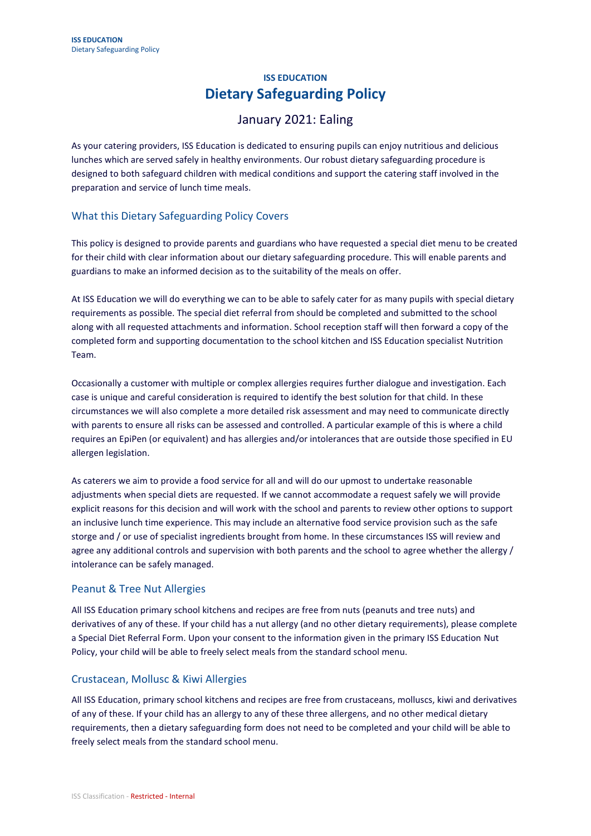# **ISS EDUCATION Dietary Safeguarding Policy**

# January 2021: Ealing

As your catering providers, ISS Education is dedicated to ensuring pupils can enjoy nutritious and delicious lunches which are served safely in healthy environments. Our robust dietary safeguarding procedure is designed to both safeguard children with medical conditions and support the catering staff involved in the preparation and service of lunch time meals.

# What this Dietary Safeguarding Policy Covers

This policy is designed to provide parents and guardians who have requested a special diet menu to be created for their child with clear information about our dietary safeguarding procedure. This will enable parents and guardians to make an informed decision as to the suitability of the meals on offer.

At ISS Education we will do everything we can to be able to safely cater for as many pupils with special dietary requirements as possible. The special diet referral from should be completed and submitted to the school along with all requested attachments and information. School reception staff will then forward a copy of the completed form and supporting documentation to the school kitchen and ISS Education specialist Nutrition Team.

Occasionally a customer with multiple or complex allergies requires further dialogue and investigation. Each case is unique and careful consideration is required to identify the best solution for that child. In these circumstances we will also complete a more detailed risk assessment and may need to communicate directly with parents to ensure all risks can be assessed and controlled. A particular example of this is where a child requires an EpiPen (or equivalent) and has allergies and/or intolerances that are outside those specified in EU allergen legislation.

As caterers we aim to provide a food service for all and will do our upmost to undertake reasonable adjustments when special diets are requested. If we cannot accommodate a request safely we will provide explicit reasons for this decision and will work with the school and parents to review other options to support an inclusive lunch time experience. This may include an alternative food service provision such as the safe storge and / or use of specialist ingredients brought from home. In these circumstances ISS will review and agree any additional controls and supervision with both parents and the school to agree whether the allergy / intolerance can be safely managed.

# Peanut & Tree Nut Allergies

All ISS Education primary school kitchens and recipes are free from nuts (peanuts and tree nuts) and derivatives of any of these. If your child has a nut allergy (and no other dietary requirements), please complete a Special Diet Referral Form. Upon your consent to the information given in the primary ISS Education Nut Policy, your child will be able to freely select meals from the standard school menu.

# Crustacean, Mollusc & Kiwi Allergies

All ISS Education, primary school kitchens and recipes are free from crustaceans, molluscs, kiwi and derivatives of any of these. If your child has an allergy to any of these three allergens, and no other medical dietary requirements, then a dietary safeguarding form does not need to be completed and your child will be able to freely select meals from the standard school menu.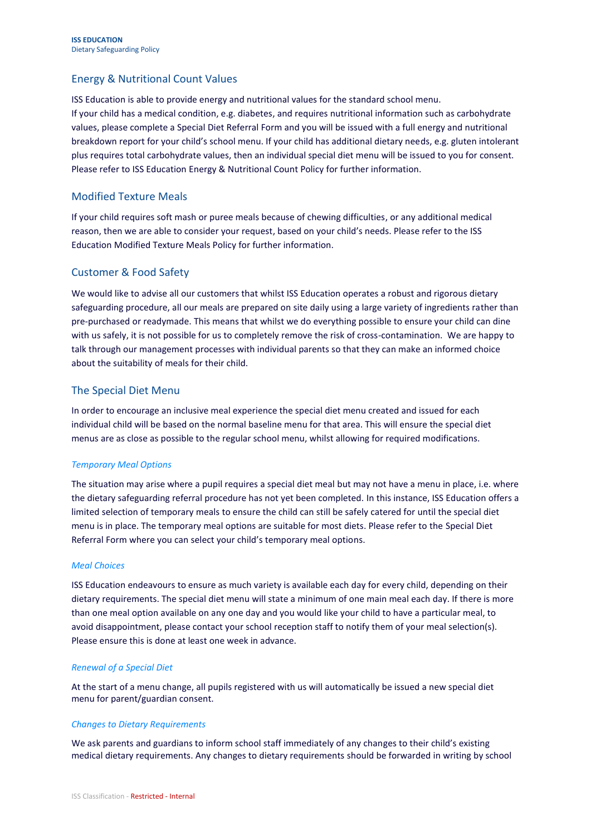# Energy & Nutritional Count Values

ISS Education is able to provide energy and nutritional values for the standard school menu. If your child has a medical condition, e.g. diabetes, and requires nutritional information such as carbohydrate values, please complete a Special Diet Referral Form and you will be issued with a full energy and nutritional breakdown report for your child's school menu. If your child has additional dietary needs, e.g. gluten intolerant plus requires total carbohydrate values, then an individual special diet menu will be issued to you for consent. Please refer to ISS Education Energy & Nutritional Count Policy for further information.

## Modified Texture Meals

If your child requires soft mash or puree meals because of chewing difficulties, or any additional medical reason, then we are able to consider your request, based on your child's needs. Please refer to the ISS Education Modified Texture Meals Policy for further information.

## Customer & Food Safety

We would like to advise all our customers that whilst ISS Education operates a robust and rigorous dietary safeguarding procedure, all our meals are prepared on site daily using a large variety of ingredients rather than pre-purchased or readymade. This means that whilst we do everything possible to ensure your child can dine with us safely, it is not possible for us to completely remove the risk of cross-contamination. We are happy to talk through our management processes with individual parents so that they can make an informed choice about the suitability of meals for their child.

### The Special Diet Menu

In order to encourage an inclusive meal experience the special diet menu created and issued for each individual child will be based on the normal baseline menu for that area. This will ensure the special diet menus are as close as possible to the regular school menu, whilst allowing for required modifications.

#### *Temporary Meal Options*

The situation may arise where a pupil requires a special diet meal but may not have a menu in place, i.e. where the dietary safeguarding referral procedure has not yet been completed. In this instance, ISS Education offers a limited selection of temporary meals to ensure the child can still be safely catered for until the special diet menu is in place. The temporary meal options are suitable for most diets. Please refer to the Special Diet Referral Form where you can select your child's temporary meal options.

#### *Meal Choices*

ISS Education endeavours to ensure as much variety is available each day for every child, depending on their dietary requirements. The special diet menu will state a minimum of one main meal each day. If there is more than one meal option available on any one day and you would like your child to have a particular meal, to avoid disappointment, please contact your school reception staff to notify them of your meal selection(s). Please ensure this is done at least one week in advance.

#### *Renewal of a Special Diet*

At the start of a menu change, all pupils registered with us will automatically be issued a new special diet menu for parent/guardian consent.

#### *Changes to Dietary Requirements*

We ask parents and guardians to inform school staff immediately of any changes to their child's existing medical dietary requirements. Any changes to dietary requirements should be forwarded in writing by school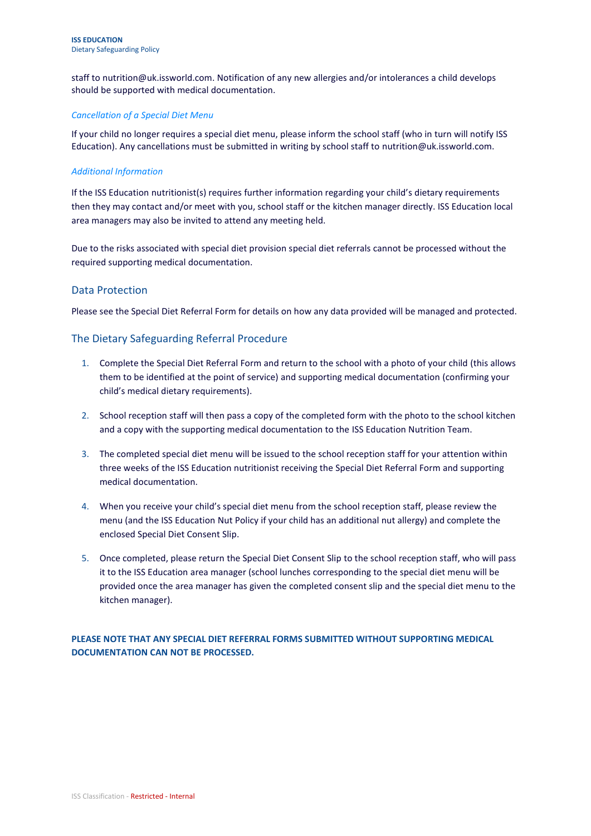staff to [nutrition@uk.issworld.com.](mailto:nutrition@uk.issworld.com) Notification of any new allergies and/or intolerances a child develops should be supported with medical documentation.

#### *Cancellation of a Special Diet Menu*

If your child no longer requires a special diet menu, please inform the school staff (who in turn will notify ISS Education). Any cancellations must be submitted in writing by school staff to [nutrition@uk.issworld.com.](mailto:nutrition@uk.issworld.com)

#### *Additional Information*

If the ISS Education nutritionist(s) requires further information regarding your child's dietary requirements then they may contact and/or meet with you, school staff or the kitchen manager directly. ISS Education local area managers may also be invited to attend any meeting held.

Due to the risks associated with special diet provision special diet referrals cannot be processed without the required supporting medical documentation.

### Data Protection

Please see the Special Diet Referral Form for details on how any data provided will be managed and protected.

## The Dietary Safeguarding Referral Procedure

- 1. Complete the Special Diet Referral Form and return to the school with a photo of your child (this allows them to be identified at the point of service) and supporting medical documentation (confirming your child's medical dietary requirements).
- 2. School reception staff will then pass a copy of the completed form with the photo to the school kitchen and a copy with the supporting medical documentation to the ISS Education Nutrition Team.
- 3. The completed special diet menu will be issued to the school reception staff for your attention within three weeks of the ISS Education nutritionist receiving the Special Diet Referral Form and supporting medical documentation.
- 4. When you receive your child's special diet menu from the school reception staff, please review the menu (and the ISS Education Nut Policy if your child has an additional nut allergy) and complete the enclosed Special Diet Consent Slip.
- 5. Once completed, please return the Special Diet Consent Slip to the school reception staff, who will pass it to the ISS Education area manager (school lunches corresponding to the special diet menu will be provided once the area manager has given the completed consent slip and the special diet menu to the kitchen manager).

### **PLEASE NOTE THAT ANY SPECIAL DIET REFERRAL FORMS SUBMITTED WITHOUT SUPPORTING MEDICAL DOCUMENTATION CAN NOT BE PROCESSED.**